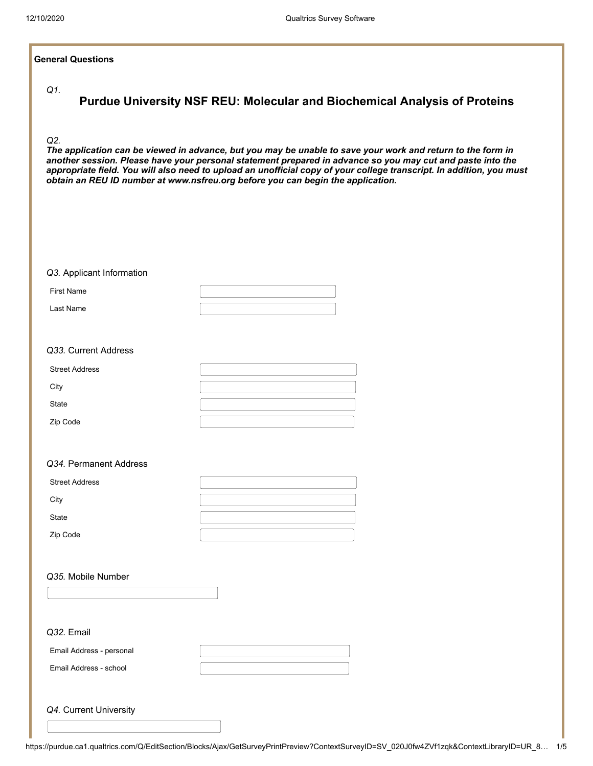#### **General Questions**

*Q1.*

#### *Q2.*

*The application can be viewed in advance, but you may be unable to save your work and return to the form in another session. Please have your personal statement prepared in advance so you may cut and paste into the appropriate field. You will also need to upload an unofficial copy of your college transcript. In addition, you must obtain an REU ID number at www.nsfreu.org before you can begin the application.*

| Q3. Applicant Information |  |
|---------------------------|--|
| <b>First Name</b>         |  |
| Last Name                 |  |
|                           |  |

## *Q33.* Current Address

| <b>Street Address</b> |  |
|-----------------------|--|
| City                  |  |
| State                 |  |
| Zip Code              |  |

## *Q34.* Permanent Address

| <b>Street Address</b> |  |
|-----------------------|--|
| City                  |  |
| State                 |  |
| Zip Code              |  |

## *Q35.* Mobile Number

| Q32. Email               |  |
|--------------------------|--|
| Email Address - personal |  |
| Email Address - school   |  |
|                          |  |
| Q4. Current University   |  |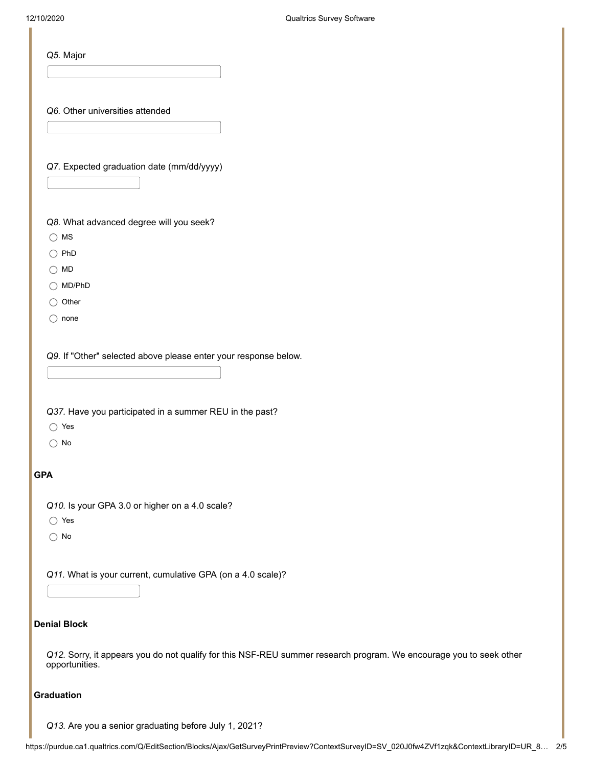I

| Q5. Major                                                   |                                                                                                                    |
|-------------------------------------------------------------|--------------------------------------------------------------------------------------------------------------------|
| Q6. Other universities attended                             |                                                                                                                    |
| Q7. Expected graduation date (mm/dd/yyyy)                   |                                                                                                                    |
| Q8. What advanced degree will you seek?                     |                                                                                                                    |
| $\bigcirc$ MS                                               |                                                                                                                    |
| $\bigcirc$ PhD                                              |                                                                                                                    |
| $\bigcirc$ MD                                               |                                                                                                                    |
| $\bigcirc$ MD/PhD                                           |                                                                                                                    |
| ◯ Other                                                     |                                                                                                                    |
| none<br>()                                                  |                                                                                                                    |
| $\bigcirc$ Yes<br>$\bigcirc$ No                             |                                                                                                                    |
| <b>GPA</b>                                                  |                                                                                                                    |
| Q10. Is your GPA 3.0 or higher on a 4.0 scale?              |                                                                                                                    |
| $\bigcirc$ Yes                                              |                                                                                                                    |
| $\bigcirc$ No                                               |                                                                                                                    |
| Q11. What is your current, cumulative GPA (on a 4.0 scale)? |                                                                                                                    |
|                                                             |                                                                                                                    |
| <b>Denial Block</b>                                         |                                                                                                                    |
| opportunities.                                              | Q12. Sorry, it appears you do not qualify for this NSF-REU summer research program. We encourage you to seek other |
| <b>Graduation</b>                                           |                                                                                                                    |
| Q13. Are you a senior graduating before July 1, 2021?       |                                                                                                                    |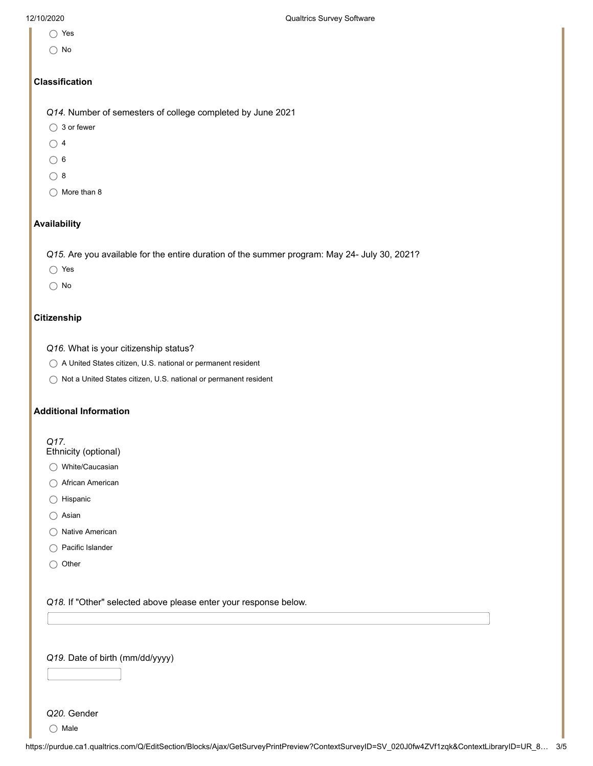- Yes
- No

## **Classification**

*Q14.* Number of semesters of college completed by June 2021

- ◯ 3 or fewer
- $\bigcirc$  4
- $\bigcirc$  6
- $\bigcirc$  8
- $\bigcirc$  More than 8

## **Availability**

*Q15.* Are you available for the entire duration of the summer program: May 24- July 30, 2021?

- Yes
- $\bigcirc$  No

# **Citizenship**

- *Q16.* What is your citizenship status?
- A United States citizen, U.S. national or permanent resident
- ◯ Not a United States citizen, U.S. national or permanent resident

## **Additional Information**

## *Q17.*

- Ethnicity (optional)
- ◯ White/Caucasian
- African American
- $\bigcirc$  Hispanic
- ◯ Asian
- $\bigcirc$  Native American
- Pacific Islander
- $\bigcirc$  Other

*Q18.* If "Other" selected above please enter your response below.

## *Q19.* Date of birth (mm/dd/yyyy)

# *Q20.* Gender

 $\bigcirc$  Male